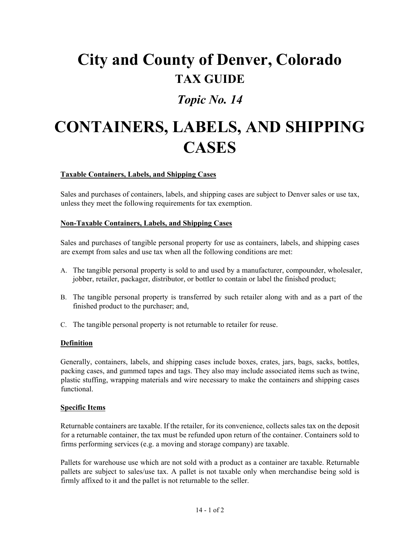## **City and County of Denver, Colorado TAX GUIDE**

### *Topic No. 14*

# **CONTAINERS, LABELS, AND SHIPPING CASES**

#### **Taxable Containers, Labels, and Shipping Cases**

Sales and purchases of containers, labels, and shipping cases are subject to Denver sales or use tax, unless they meet the following requirements for tax exemption.

#### **Non-Taxable Containers, Labels, and Shipping Cases**

Sales and purchases of tangible personal property for use as containers, labels, and shipping cases are exempt from sales and use tax when all the following conditions are met:

- A. The tangible personal property is sold to and used by a manufacturer, compounder, wholesaler, jobber, retailer, packager, distributor, or bottler to contain or label the finished product;
- B. The tangible personal property is transferred by such retailer along with and as a part of the finished product to the purchaser; and,
- C. The tangible personal property is not returnable to retailer for reuse.

#### **Definition**

Generally, containers, labels, and shipping cases include boxes, crates, jars, bags, sacks, bottles, packing cases, and gummed tapes and tags. They also may include associated items such as twine, plastic stuffing, wrapping materials and wire necessary to make the containers and shipping cases functional.

#### **Specific Items**

Returnable containers are taxable. If the retailer, for its convenience, collects sales tax on the deposit for a returnable container, the tax must be refunded upon return of the container. Containers sold to firms performing services (e.g. a moving and storage company) are taxable.

Pallets for warehouse use which are not sold with a product as a container are taxable. Returnable pallets are subject to sales/use tax. A pallet is not taxable only when merchandise being sold is firmly affixed to it and the pallet is not returnable to the seller.